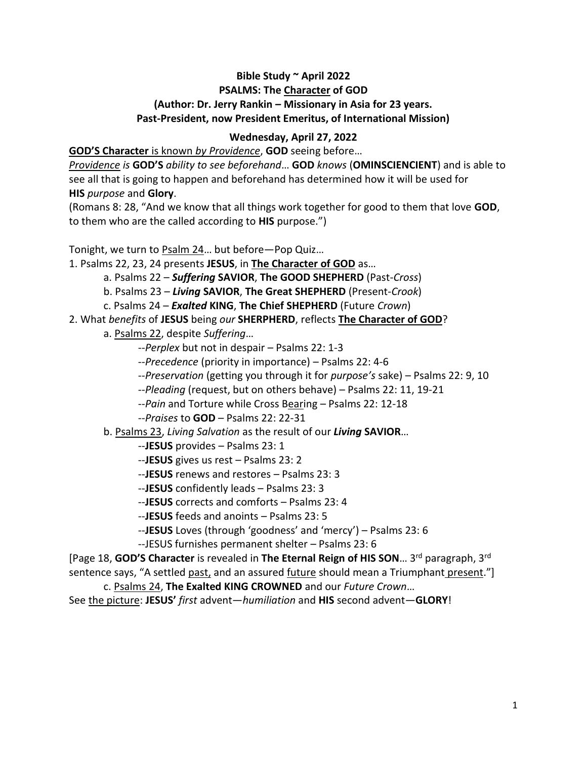## **Bible Study ~ April 2022 PSALMS: The Character of GOD (Author: Dr. Jerry Rankin – Missionary in Asia for 23 years. Past-President, now President Emeritus, of International Mission)**

## **Wednesday, April 27, 2022**

**GOD'S Character** is known *by Providence*, **GOD** seeing before…

*Providence is* **GOD'S** *ability to see beforehand*… **GOD** *knows* (**OMINSCIENCIENT**) and is able to see all that is going to happen and beforehand has determined how it will be used for **HIS** *purpose* and **Glory**.

(Romans 8: 28, "And we know that all things work together for good to them that love **GOD**, to them who are the called according to **HIS** purpose.")

Tonight, we turn to Psalm 24… but before—Pop Quiz…

1. Psalms 22, 23, 24 presents **JESUS**, in **The Character of GOD** as…

- a. Psalms 22 *Suffering* **SAVIOR**, **The GOOD SHEPHERD** (Past-*Cross*)
- b. Psalms 23 *Living* **SAVIOR**, **The Great SHEPHERD** (Present-*Crook*)
- c. Psalms 24 *Exalted* **KING**, **The Chief SHEPHERD** (Future *Crown*)
- 2. What *benefits* of **JESUS** being *our* **SHERPHERD**, reflects **The Character of GOD**?

a. Psalms 22, despite *Suffering*…

--*Perplex* but not in despair – Psalms 22: 1-3

- --*Precedence* (priority in importance) Psalms 22: 4-6
- --*Preservation* (getting you through it for *purpose's* sake) Psalms 22: 9, 10
- --*Pleading* (request, but on others behave) Psalms 22: 11, 19-21
- --*Pain* and Torture while Cross Bearing Psalms 22: 12-18
- --*Praises* to **GOD** Psalms 22: 22-31
- b. Psalms 23, *Living Salvation* as the result of our *Living* **SAVIOR**…
	- --**JESUS** provides Psalms 23: 1
	- --**JESUS** gives us rest Psalms 23: 2
	- --**JESUS** renews and restores Psalms 23: 3
	- --**JESUS** confidently leads Psalms 23: 3
	- --**JESUS** corrects and comforts Psalms 23: 4
	- --**JESUS** feeds and anoints Psalms 23: 5
	- --**JESUS** Loves (through 'goodness' and 'mercy') Psalms 23: 6

--JESUS furnishes permanent shelter – Psalms 23: 6

[Page 18, **GOD'S Character** is revealed in **The Eternal Reign of HIS SON**… 3rd paragraph, 3rd sentence says, "A settled past, and an assured future should mean a Triumphant present."]

c. Psalms 24, **The Exalted KING CROWNED** and our *Future Crown*…

See the picture: **JESUS'** *first* advent—*humiliation* and **HIS** second advent—**GLORY**!